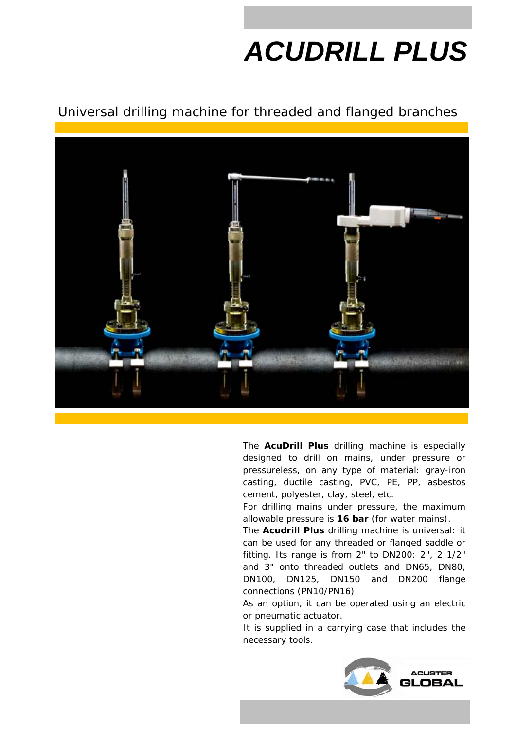## *ACUDRILL PLUS*

## Universal drilling machine for threaded and flanged branches



The **AcuDrill Plus** drilling machine is especially designed to drill on mains, under pressure or pressureless, on any type of material: gray-iron casting, ductile casting, PVC, PE, PP, asbestos cement, polyester, clay, steel, etc.

For drilling mains under pressure, the maximum allowable pressure is **16 bar** (for water mains).

The **Acudrill Plus** drilling machine is universal: it can be used for any threaded or flanged saddle or fitting. Its range is from 2" to DN200: 2", 2 1/2" and 3" onto threaded outlets and DN65, DN80, DN100, DN125, DN150 and DN200 flange connections (PN10/PN16).

As an option, it can be operated using an electric or pneumatic actuator.

It is supplied in a carrying case that includes the necessary tools.